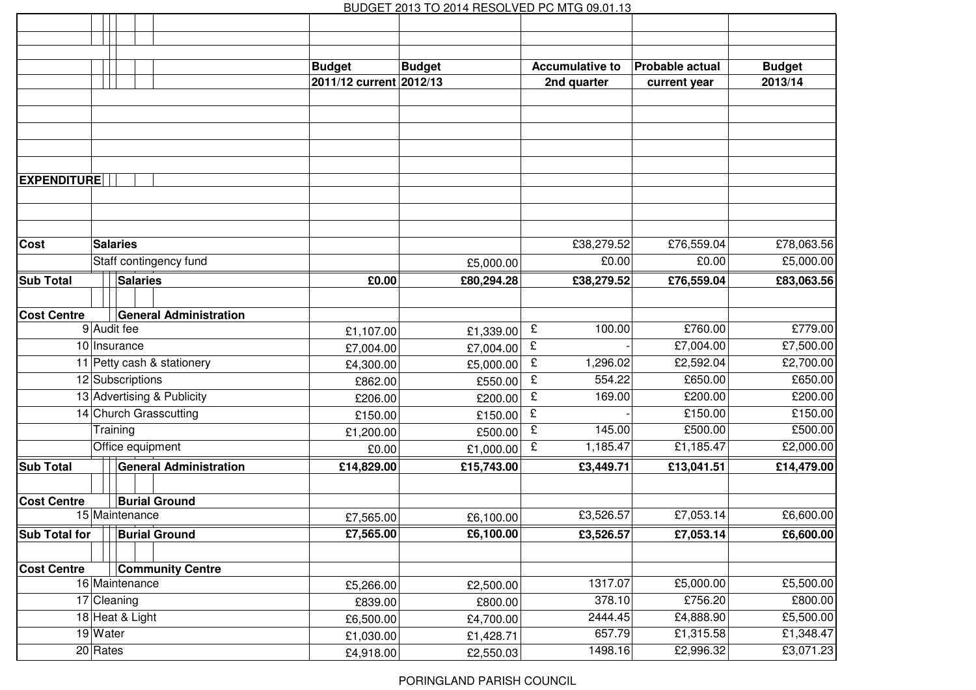## BUDGET 2013 TO 2014 RESOLVED PC MTG 09.01.13

|                                                                 |                        |                               | <b>Budget</b>        | <b>Budget</b>           | <b>Accumulative to</b> | Probable actual | <b>Budget</b> |
|-----------------------------------------------------------------|------------------------|-------------------------------|----------------------|-------------------------|------------------------|-----------------|---------------|
|                                                                 |                        |                               |                      | 2011/12 current 2012/13 | 2nd quarter            | current year    | 2013/14       |
|                                                                 |                        |                               |                      |                         |                        |                 |               |
|                                                                 |                        |                               |                      |                         |                        |                 |               |
|                                                                 |                        |                               |                      |                         |                        |                 |               |
|                                                                 |                        |                               |                      |                         |                        |                 |               |
|                                                                 |                        |                               |                      |                         |                        |                 |               |
| <b>EXPENDITURE</b>                                              |                        |                               |                      |                         |                        |                 |               |
|                                                                 |                        |                               |                      |                         |                        |                 |               |
|                                                                 |                        |                               |                      |                         |                        |                 |               |
| <b>Cost</b>                                                     | <b>Salaries</b>        |                               |                      |                         | £38,279.52             | £76,559.04      | £78,063.56    |
|                                                                 | Staff contingency fund |                               |                      | £5,000.00               | £0.00                  | £0.00           | £5,000.00     |
| <b>Sub Total</b>                                                | <b>Salaries</b>        |                               | £0.00                | £80,294.28              | £38,279.52             | £76,559.04      | £83,063.56    |
|                                                                 |                        |                               |                      |                         |                        |                 |               |
| <b>Cost Centre</b>                                              |                        | <b>General Administration</b> |                      |                         |                        |                 |               |
|                                                                 | 9 Audit fee            |                               | £1,107.00            | £1,339.00               | 100.00<br>£            | £760.00         | £779.00       |
|                                                                 | 10 Insurance           |                               | £7,004.00            | £7,004.00               | £                      | £7,004.00       | £7,500.00     |
|                                                                 |                        | 11 Petty cash & stationery    | £4,300.00            | £5,000.00               | £<br>1,296.02          | £2,592.04       | £2,700.00     |
| 12 Subscriptions                                                |                        |                               | £862.00              | £550.00                 | £<br>554.22            | £650.00         | £650.00       |
| 13 Advertising & Publicity                                      |                        |                               | £206.00              | £200.00                 | £<br>169.00            | £200.00         | £200.00       |
|                                                                 | 14 Church Grasscutting |                               | £150.00              | £150.00                 | £                      | £150.00         | £150.00       |
| Training                                                        |                        |                               | £1,200.00            | £500.00                 | 145.00<br>£            | £500.00         | £500.00       |
| Office equipment                                                |                        | £0.00                         | £1,000.00            | 1,185.47<br>£           | £1,185.47              | £2,000.00       |               |
| <b>Sub Total</b>                                                |                        | <b>General Administration</b> | £14,829.00           | £15,743.00              | £3,449.71              | £13,041.51      | £14,479.00    |
|                                                                 |                        |                               |                      |                         |                        |                 |               |
| <b>Cost Centre</b>                                              | <b>Burial Ground</b>   |                               |                      |                         |                        |                 |               |
| 15 Maintenance                                                  |                        | £7,565.00                     | £6,100.00            | £3,526.57               | £7,053.14              | £6,600.00       |               |
| Sub Total for                                                   |                        | <b>Burial Ground</b>          | £7,565.00            | £6,100.00               | £3,526.57              | £7,053.14       | £6,600.00     |
|                                                                 |                        |                               |                      |                         |                        |                 |               |
| <b>Community Centre</b><br><b>Cost Centre</b><br>16 Maintenance |                        |                               |                      | 1317.07                 | £5,000.00              | £5,500.00       |               |
| 17 Cleaning                                                     |                        |                               | £5,266.00            | £2,500.00               | 378.10                 | £756.20         | £800.00       |
| 18 Heat & Light                                                 |                        |                               | £839.00<br>£6,500.00 | £800.00<br>£4,700.00    | 2444.45                | £4,888.90       | £5,500.00     |
| 19 Water                                                        |                        |                               | £1,030.00            | £1,428.71               | 657.79                 | £1,315.58       | £1,348.47     |
| $20$ Rates                                                      |                        |                               | £4,918.00            | £2,550.03               | 1498.16                | £2,996.32       | £3,071.23     |
|                                                                 |                        |                               |                      |                         |                        |                 |               |

PORINGLAND PARISH COUNCIL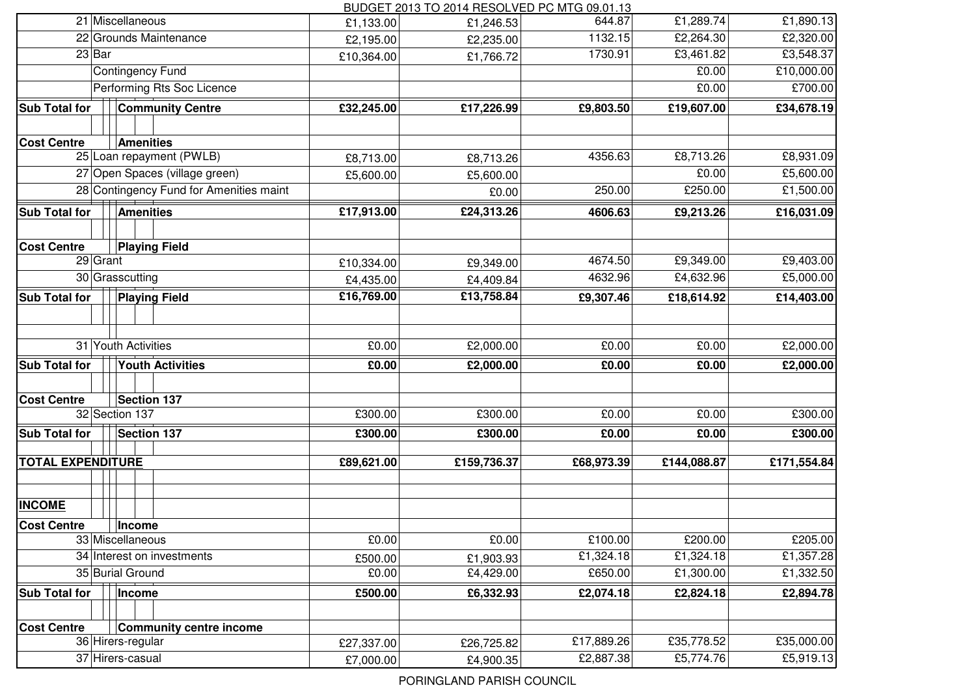BUDGET 2013 TO 2014 RESOLVED PC MTG 09.01.13

|                            |                                         |            | 50 DUD 1 D TU LUI 1 ILLUUL VLD TUINTU VJ.VT. 1 U |            |             |             |
|----------------------------|-----------------------------------------|------------|--------------------------------------------------|------------|-------------|-------------|
|                            | 21 Miscellaneous                        | £1,133.00  | £1,246.53                                        | 644.87     | £1,289.74   | £1,890.13   |
|                            | 22 Grounds Maintenance                  | £2,195.00  | £2,235.00                                        | 1132.15    | £2,264.30   | £2,320.00   |
| $23$ Bar                   |                                         | £10,364.00 | £1,766.72                                        | 1730.91    | £3,461.82   | £3,548.37   |
|                            | <b>Contingency Fund</b>                 |            |                                                  |            | £0.00       | £10,000.00  |
|                            | Performing Rts Soc Licence              |            |                                                  |            | £0.00       | £700.00     |
| <b>Sub Total for</b>       | <b>Community Centre</b>                 | £32,245.00 | £17,226.99                                       | £9,803.50  | £19,607.00  | £34,678.19  |
| <b>Cost Centre</b>         | <b>Amenities</b>                        |            |                                                  |            |             |             |
|                            | 25 Loan repayment (PWLB)                | £8,713.00  | £8,713.26                                        | 4356.63    | £8,713.26   | £8,931.09   |
|                            | 27 Open Spaces (village green)          | £5,600.00  | £5,600.00                                        |            | £0.00       | £5,600.00   |
|                            | 28 Contingency Fund for Amenities maint |            | £0.00                                            | 250.00     | £250.00     | £1,500.00   |
| <b>Sub Total for</b>       | <b>Amenities</b>                        | £17,913.00 | £24,313.26                                       | 4606.63    | £9,213.26   | £16,031.09  |
| <b>Cost Centre</b>         | <b>Playing Field</b>                    |            |                                                  |            |             |             |
| 29 Grant                   |                                         | £10,334.00 | £9,349.00                                        | 4674.50    | £9,349.00   | £9,403.00   |
|                            | 30 Grasscutting                         | £4,435.00  | £4,409.84                                        | 4632.96    | £4,632.96   | £5,000.00   |
| <b>Sub Total for</b>       | <b>Playing Field</b>                    | £16,769.00 | £13,758.84                                       | £9,307.46  | £18,614.92  | £14,403.00  |
|                            |                                         |            |                                                  |            |             |             |
| 31 Youth Activities        |                                         | £0.00      | £2,000.00                                        | £0.00      | £0.00       | £2,000.00   |
| <b>Sub Total for</b>       | <b>Youth Activities</b>                 |            | £2,000.00                                        | £0.00      | £0.00       | £2,000.00   |
| <b>Cost Centre</b>         | <b>Section 137</b>                      |            |                                                  |            |             |             |
| 32 Section 137             |                                         | £300.00    | £300.00                                          | £0.00      | £0.00       | £300.00     |
| <b>Sub Total for</b>       | <b>Section 137</b>                      | £300.00    | £300.00                                          | £0.00      | £0.00       | £300.00     |
| <b>TOTAL EXPENDITURE</b>   |                                         | £89,621.00 | £159,736.37                                      | £68,973.39 | £144,088.87 | £171,554.84 |
| <b>INCOME</b>              |                                         |            |                                                  |            |             |             |
| <b>Cost Centre</b>         | Income                                  |            |                                                  |            |             |             |
| 33 Miscellaneous           |                                         | £0.00      | £0.00                                            | £100.00    | £200.00     | £205.00     |
| 34 Interest on investments |                                         | £500.00    | £1,903.93                                        | £1,324.18  | £1,324.18   | £1,357.28   |
| 35 Burial Ground           |                                         | £0.00      | £4,429.00                                        | £650.00    | £1,300.00   | £1,332.50   |
| <b>Sub Total for</b>       | Income                                  |            | £6,332.93                                        | £2,074.18  | £2,824.18   | £2,894.78   |
| <b>Cost Centre</b>         | <b>Community centre income</b>          |            |                                                  |            |             |             |
|                            | 36 Hirers-regular                       | £27,337.00 | £26,725.82                                       | £17,889.26 | £35,778.52  | £35,000.00  |
|                            | 37 Hirers-casual                        | £7,000.00  | £4,900.35                                        | £2,887.38  | £5,774.76   | £5,919.13   |
|                            |                                         |            |                                                  |            |             |             |

PORINGLAND PARISH COUNCIL